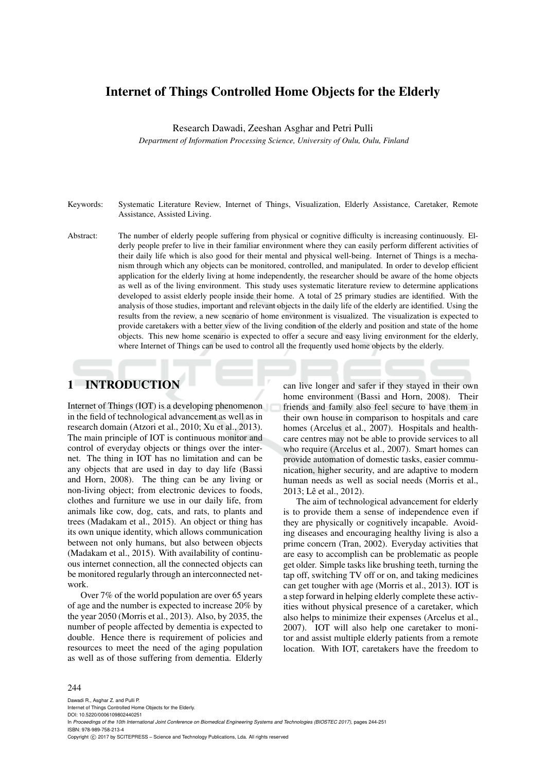# Internet of Things Controlled Home Objects for the Elderly

Research Dawadi, Zeeshan Asghar and Petri Pulli

*Department of Information Processing Science, University of Oulu, Oulu, Finland*

- Keywords: Systematic Literature Review, Internet of Things, Visualization, Elderly Assistance, Caretaker, Remote Assistance, Assisted Living.
- Abstract: The number of elderly people suffering from physical or cognitive difficulty is increasing continuously. Elderly people prefer to live in their familiar environment where they can easily perform different activities of their daily life which is also good for their mental and physical well-being. Internet of Things is a mechanism through which any objects can be monitored, controlled, and manipulated. In order to develop efficient application for the elderly living at home independently, the researcher should be aware of the home objects as well as of the living environment. This study uses systematic literature review to determine applications developed to assist elderly people inside their home. A total of 25 primary studies are identified. With the analysis of those studies, important and relevant objects in the daily life of the elderly are identified. Using the results from the review, a new scenario of home environment is visualized. The visualization is expected to provide caretakers with a better view of the living condition of the elderly and position and state of the home objects. This new home scenario is expected to offer a secure and easy living environment for the elderly, where Internet of Things can be used to control all the frequently used home objects by the elderly.

# 1 INTRODUCTION

Internet of Things (IOT) is a developing phenomenon in the field of technological advancement as well as in research domain (Atzori et al., 2010; Xu et al., 2013). The main principle of IOT is continuous monitor and control of everyday objects or things over the internet. The thing in IOT has no limitation and can be any objects that are used in day to day life (Bassi and Horn, 2008). The thing can be any living or non-living object; from electronic devices to foods, clothes and furniture we use in our daily life, from animals like cow, dog, cats, and rats, to plants and trees (Madakam et al., 2015). An object or thing has its own unique identity, which allows communication between not only humans, but also between objects (Madakam et al., 2015). With availability of continuous internet connection, all the connected objects can be monitored regularly through an interconnected network.

Over 7% of the world population are over 65 years of age and the number is expected to increase 20% by the year 2050 (Morris et al., 2013). Also, by 2035, the number of people affected by dementia is expected to double. Hence there is requirement of policies and resources to meet the need of the aging population as well as of those suffering from dementia. Elderly

can live longer and safer if they stayed in their own home environment (Bassi and Horn, 2008). Their friends and family also feel secure to have them in their own house in comparison to hospitals and care homes (Arcelus et al., 2007). Hospitals and healthcare centres may not be able to provide services to all who require (Arcelus et al., 2007). Smart homes can provide automation of domestic tasks, easier communication, higher security, and are adaptive to modern human needs as well as social needs (Morris et al., 2013; Lê et al., 2012).

The aim of technological advancement for elderly is to provide them a sense of independence even if they are physically or cognitively incapable. Avoiding diseases and encouraging healthy living is also a prime concern (Tran, 2002). Everyday activities that are easy to accomplish can be problematic as people get older. Simple tasks like brushing teeth, turning the tap off, switching TV off or on, and taking medicines can get tougher with age (Morris et al., 2013). IOT is a step forward in helping elderly complete these activities without physical presence of a caretaker, which also helps to minimize their expenses (Arcelus et al., 2007). IOT will also help one caretaker to monitor and assist multiple elderly patients from a remote location. With IOT, caretakers have the freedom to

#### 244

Dawadi R., Asghar Z. and Pulli P. Internet of Things Controlled Home Objects for the Elderly. DOI: 10.5220/0006109802440251 In *Proceedings of the 10th International Joint Conference on Biomedical Engineering Systems and Technologies (BIOSTEC 2017)*, pages 244-251 ISBN: 978-989-758-213-4 Copyright © 2017 by SCITEPRESS - Science and Technology Publications, Lda. All rights reserved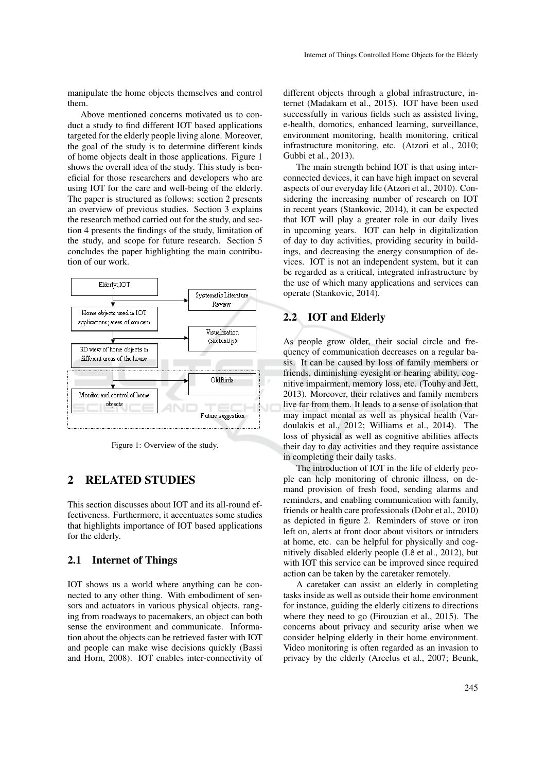manipulate the home objects themselves and control them.

Above mentioned concerns motivated us to conduct a study to find different IOT based applications targeted for the elderly people living alone. Moreover, the goal of the study is to determine different kinds of home objects dealt in those applications. Figure 1 shows the overall idea of the study. This study is beneficial for those researchers and developers who are using IOT for the care and well-being of the elderly. The paper is structured as follows: section 2 presents an overview of previous studies. Section 3 explains the research method carried out for the study, and section 4 presents the findings of the study, limitation of the study, and scope for future research. Section 5 concludes the paper highlighting the main contribution of our work.



Figure 1: Overview of the study.

# 2 RELATED STUDIES

This section discusses about IOT and its all-round effectiveness. Furthermore, it accentuates some studies that highlights importance of IOT based applications for the elderly.

### 2.1 Internet of Things

IOT shows us a world where anything can be connected to any other thing. With embodiment of sensors and actuators in various physical objects, ranging from roadways to pacemakers, an object can both sense the environment and communicate. Information about the objects can be retrieved faster with IOT and people can make wise decisions quickly (Bassi and Horn, 2008). IOT enables inter-connectivity of different objects through a global infrastructure, internet (Madakam et al., 2015). IOT have been used successfully in various fields such as assisted living, e-health, domotics, enhanced learning, surveillance, environment monitoring, health monitoring, critical infrastructure monitoring, etc. (Atzori et al., 2010; Gubbi et al., 2013).

The main strength behind IOT is that using interconnected devices, it can have high impact on several aspects of our everyday life (Atzori et al., 2010). Considering the increasing number of research on IOT in recent years (Stankovic, 2014), it can be expected that IOT will play a greater role in our daily lives in upcoming years. IOT can help in digitalization of day to day activities, providing security in buildings, and decreasing the energy consumption of devices. IOT is not an independent system, but it can be regarded as a critical, integrated infrastructure by the use of which many applications and services can operate (Stankovic, 2014).

## 2.2 IOT and Elderly

As people grow older, their social circle and frequency of communication decreases on a regular basis. It can be caused by loss of family members or friends, diminishing eyesight or hearing ability, cognitive impairment, memory loss, etc. (Touhy and Jett, 2013). Moreover, their relatives and family members live far from them. It leads to a sense of isolation that may impact mental as well as physical health (Vardoulakis et al., 2012; Williams et al., 2014). The loss of physical as well as cognitive abilities affects their day to day activities and they require assistance in completing their daily tasks.

The introduction of IOT in the life of elderly people can help monitoring of chronic illness, on demand provision of fresh food, sending alarms and reminders, and enabling communication with family, friends or health care professionals (Dohr et al., 2010) as depicted in figure 2. Reminders of stove or iron left on, alerts at front door about visitors or intruders at home, etc. can be helpful for physically and cognitively disabled elderly people (Lê et al., 2012), but with IOT this service can be improved since required action can be taken by the caretaker remotely.

A caretaker can assist an elderly in completing tasks inside as well as outside their home environment for instance, guiding the elderly citizens to directions where they need to go (Firouzian et al., 2015). The concerns about privacy and security arise when we consider helping elderly in their home environment. Video monitoring is often regarded as an invasion to privacy by the elderly (Arcelus et al., 2007; Beunk,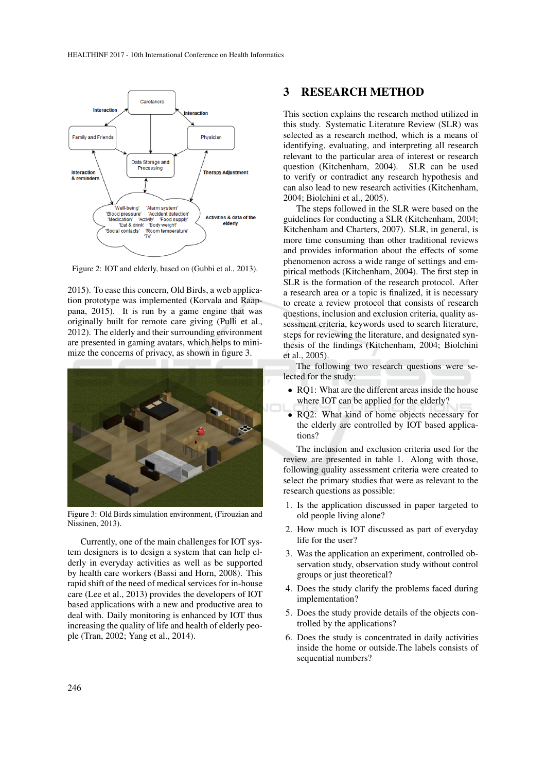

Figure 2: IOT and elderly, based on (Gubbi et al., 2013).

2015). To ease this concern, Old Birds, a web application prototype was implemented (Korvala and Raappana, 2015). It is run by a game engine that was originally built for remote care giving (Pulli et al., 2012). The elderly and their surrounding environment are presented in gaming avatars, which helps to minimize the concerns of privacy, as shown in figure 3.



Figure 3: Old Birds simulation environment, (Firouzian and Nissinen, 2013).

Currently, one of the main challenges for IOT system designers is to design a system that can help elderly in everyday activities as well as be supported by health care workers (Bassi and Horn, 2008). This rapid shift of the need of medical services for in-house care (Lee et al., 2013) provides the developers of IOT based applications with a new and productive area to deal with. Daily monitoring is enhanced by IOT thus increasing the quality of life and health of elderly people (Tran, 2002; Yang et al., 2014).

## 3 RESEARCH METHOD

This section explains the research method utilized in this study. Systematic Literature Review (SLR) was selected as a research method, which is a means of identifying, evaluating, and interpreting all research relevant to the particular area of interest or research question (Kitchenham, 2004). SLR can be used to verify or contradict any research hypothesis and can also lead to new research activities (Kitchenham, 2004; Biolchini et al., 2005).

The steps followed in the SLR were based on the guidelines for conducting a SLR (Kitchenham, 2004; Kitchenham and Charters, 2007). SLR, in general, is more time consuming than other traditional reviews and provides information about the effects of some phenomenon across a wide range of settings and empirical methods (Kitchenham, 2004). The first step in SLR is the formation of the research protocol. After a research area or a topic is finalized, it is necessary to create a review protocol that consists of research questions, inclusion and exclusion criteria, quality assessment criteria, keywords used to search literature, steps for reviewing the literature, and designated synthesis of the findings (Kitchenham, 2004; Biolchini et al., 2005).

The following two research questions were selected for the study:

- RO1: What are the different areas inside the house where IOT can be applied for the elderly?
- RO2: What kind of home objects necessary for the elderly are controlled by IOT based applications?

The inclusion and exclusion criteria used for the review are presented in table 1. Along with those, following quality assessment criteria were created to select the primary studies that were as relevant to the research questions as possible:

- 1. Is the application discussed in paper targeted to old people living alone?
- 2. How much is IOT discussed as part of everyday life for the user?
- 3. Was the application an experiment, controlled observation study, observation study without control groups or just theoretical?
- 4. Does the study clarify the problems faced during implementation?
- 5. Does the study provide details of the objects controlled by the applications?
- 6. Does the study is concentrated in daily activities inside the home or outside.The labels consists of sequential numbers?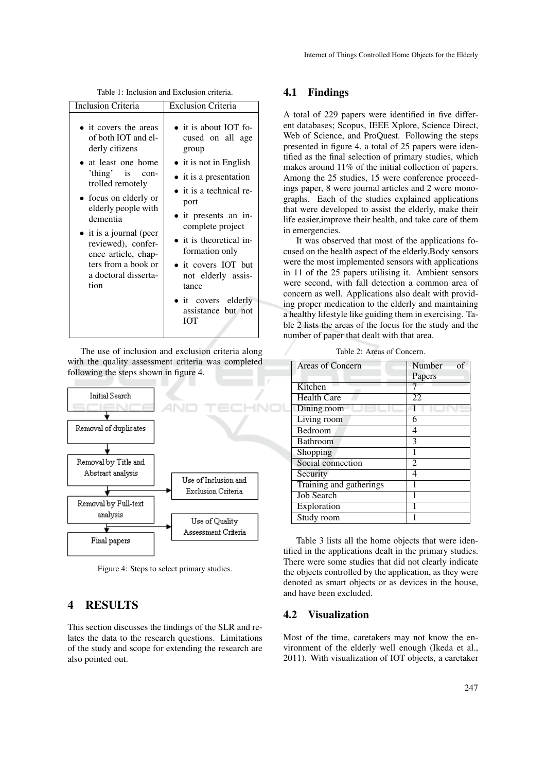Table 1: Inclusion and Exclusion criteria.

| Inclusion Criteria                                                                                                                                                                                                                                                                                                              | <b>Exclusion Criteria</b>                                                                                                                                                                                                                                                                                                                                                            |  |
|---------------------------------------------------------------------------------------------------------------------------------------------------------------------------------------------------------------------------------------------------------------------------------------------------------------------------------|--------------------------------------------------------------------------------------------------------------------------------------------------------------------------------------------------------------------------------------------------------------------------------------------------------------------------------------------------------------------------------------|--|
| • it covers the areas<br>of both IOT and el-<br>derly citizens<br>• at least one home<br>'thing' is con-<br>trolled remotely<br>• focus on elderly or<br>elderly people with<br>dementia<br>$\bullet$ it is a journal (peer<br>reviewed), confer-<br>ence article, chap-<br>ters from a book or<br>a doctoral disserta-<br>tion | $\bullet$ it is about IOT fo-<br>cused on all age<br>group<br>$\bullet$ it is not in English<br>$\bullet$ it is a presentation<br>$\bullet$ it is a technical re-<br>port<br>• it presents an in-<br>complete project<br>$\bullet$ it is theoretical in-<br>formation only<br>• it covers IOT but<br>not elderly assis-<br>tance<br>• it covers elderly<br>assistance but not<br>IOT |  |

The use of inclusion and exclusion criteria along with the quality assessment criteria was completed following the steps shown in figure 4.



Figure 4: Steps to select primary studies.

## 4 RESULTS

This section discusses the findings of the SLR and relates the data to the research questions. Limitations of the study and scope for extending the research are also pointed out.

### 4.1 Findings

A total of 229 papers were identified in five different databases; Scopus, IEEE Xplore, Science Direct, Web of Science, and ProQuest. Following the steps presented in figure 4, a total of 25 papers were identified as the final selection of primary studies, which makes around 11% of the initial collection of papers. Among the 25 studies, 15 were conference proceedings paper, 8 were journal articles and 2 were monographs. Each of the studies explained applications that were developed to assist the elderly, make their life easier,improve their health, and take care of them in emergencies.

It was observed that most of the applications focused on the health aspect of the elderly.Body sensors were the most implemented sensors with applications in 11 of the 25 papers utilising it. Ambient sensors were second, with fall detection a common area of concern as well. Applications also dealt with providing proper medication to the elderly and maintaining a healthy lifestyle like guiding them in exercising. Table 2 lists the areas of the focus for the study and the number of paper that dealt with that area.

| <b>Areas of Concern</b> | Number<br>of   |
|-------------------------|----------------|
|                         | Papers         |
| Kitchen                 |                |
| <b>Health Care</b>      | 22             |
| Dining room             |                |
| Living room             | 6              |
| Bedroom                 | 4              |
| <b>Bathroom</b>         | 3              |
| Shopping                | 1              |
| Social connection       | $\mathfrak{D}$ |
| Security                | 4              |
| Training and gatherings |                |
| <b>Job Search</b>       |                |
| Exploration             |                |
| Study room              |                |

Table 2: Areas of Concern.

Table 3 lists all the home objects that were identified in the applications dealt in the primary studies. There were some studies that did not clearly indicate the objects controlled by the application, as they were denoted as smart objects or as devices in the house, and have been excluded.

### 4.2 Visualization

Most of the time, caretakers may not know the environment of the elderly well enough (Ikeda et al., 2011). With visualization of IOT objects, a caretaker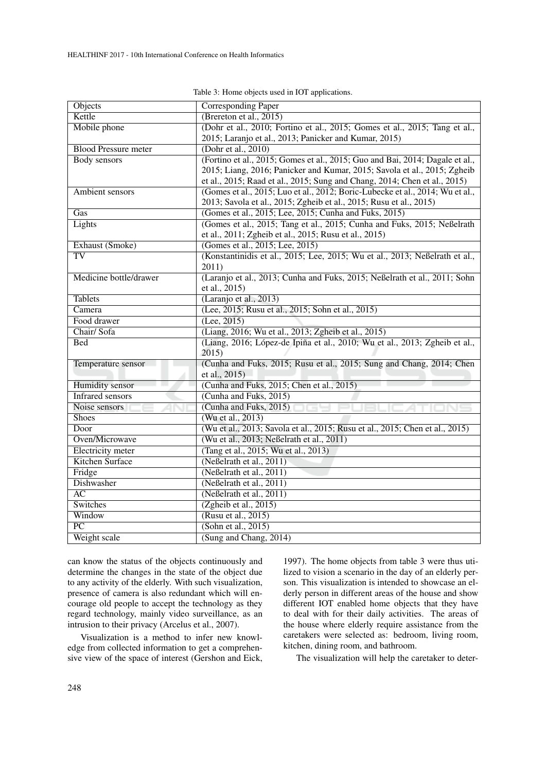| Objects                     | <b>Corresponding Paper</b>                                                    |  |
|-----------------------------|-------------------------------------------------------------------------------|--|
| Kettle                      | (Brereton et al., $2015$ )                                                    |  |
| Mobile phone                | (Dohr et al., 2010; Fortino et al., 2015; Gomes et al., 2015; Tang et al.,    |  |
|                             | 2015; Laranjo et al., 2013; Panicker and Kumar, 2015)                         |  |
| <b>Blood Pressure meter</b> | (Dohr et al., $2010$ )                                                        |  |
| <b>Body</b> sensors         | (Fortino et al., 2015; Gomes et al., 2015; Guo and Bai, 2014; Dagale et al.,  |  |
|                             | 2015; Liang, 2016; Panicker and Kumar, 2015; Savola et al., 2015; Zgheib      |  |
|                             | et al., 2015; Raad et al., 2015; Sung and Chang, 2014; Chen et al., 2015)     |  |
| Ambient sensors             | (Gomes et al., 2015; Luo et al., 2012; Boric-Lubecke et al., 2014; Wu et al., |  |
|                             | 2013; Savola et al., 2015; Zgheib et al., 2015; Rusu et al., 2015)            |  |
| Gas                         | (Gomes et al., 2015; Lee, 2015; Cunha and Fuks, 2015)                         |  |
| Lights                      | (Gomes et al., 2015; Tang et al., 2015; Cunha and Fuks, 2015; Neßelrath       |  |
|                             | et al., 2011; Zgheib et al., 2015; Rusu et al., 2015)                         |  |
| Exhaust (Smoke)             | (Gomes et al., 2015; Lee, 2015)                                               |  |
| $\overline{\text{TV}}$      | (Konstantinidis et al., 2015; Lee, 2015; Wu et al., 2013; Neßelrath et al.,   |  |
|                             | 2011)                                                                         |  |
| Medicine bottle/drawer      | (Laranjo et al., 2013; Cunha and Fuks, 2015; Neßelrath et al., 2011; Sohn     |  |
|                             | et al., 2015)                                                                 |  |
| <b>Tablets</b>              | (Laranjo et al., 2013)                                                        |  |
| Camera                      | (Lee, 2015; Rusu et al., 2015; Sohn et al., 2015)                             |  |
| Food drawer                 | (Lee, 2015)                                                                   |  |
| Chair/Sofa                  | (Liang, 2016; Wu et al., 2013; Zgheib et al., 2015)                           |  |
| <b>Bed</b>                  | (Liang, 2016; López-de Ipiña et al., 2010; Wu et al., 2013; Zgheib et al.,    |  |
|                             | 2015                                                                          |  |
| Temperature sensor          | (Cunha and Fuks, 2015; Rusu et al., 2015; Sung and Chang, 2014; Chen          |  |
|                             | et al., 2015)                                                                 |  |
| <b>Humidity</b> sensor      | (Cunha and Fuks, 2015; Chen et al., 2015)                                     |  |
| <b>Infrared sensors</b>     | (Cunha and Fuks, 2015)                                                        |  |
| Noise sensors               | (Cunha and Fuks, 2015)                                                        |  |
| <b>Shoes</b>                | (Wu et al., 2013)                                                             |  |
| Door                        | (Wu et al., 2013; Savola et al., 2015; Rusu et al., 2015; Chen et al., 2015)  |  |
| Oven/Microwave              | (Wu et al., 2013; Neßelrath et al., 2011)                                     |  |
| <b>Electricity</b> meter    | (Tang et al., 2015; Wu et al., 2013)                                          |  |
| <b>Kitchen Surface</b>      | (Neßelrath et al., 2011)                                                      |  |
| Fridge                      | (Neßelrath et al., 2011)                                                      |  |
| Dishwasher                  | (Neßelrath et al., 2011)                                                      |  |
| $\overline{AC}$             | (Neßelrath et al., 2011)                                                      |  |
| Switches                    | (Zgheib et al., 2015)                                                         |  |
| Window                      | (Rusu et al., 2015)                                                           |  |
| $\overline{PC}$             | (Sohn et al., 2015)                                                           |  |
| Weight scale                | (Sung and Chang, 2014)                                                        |  |

Table 3: Home objects used in IOT applications.

can know the status of the objects continuously and determine the changes in the state of the object due to any activity of the elderly. With such visualization, presence of camera is also redundant which will encourage old people to accept the technology as they regard technology, mainly video surveillance, as an intrusion to their privacy (Arcelus et al., 2007).

Visualization is a method to infer new knowledge from collected information to get a comprehensive view of the space of interest (Gershon and Eick,

1997). The home objects from table 3 were thus utilized to vision a scenario in the day of an elderly person. This visualization is intended to showcase an elderly person in different areas of the house and show different IOT enabled home objects that they have to deal with for their daily activities. The areas of the house where elderly require assistance from the caretakers were selected as: bedroom, living room, kitchen, dining room, and bathroom.

The visualization will help the caretaker to deter-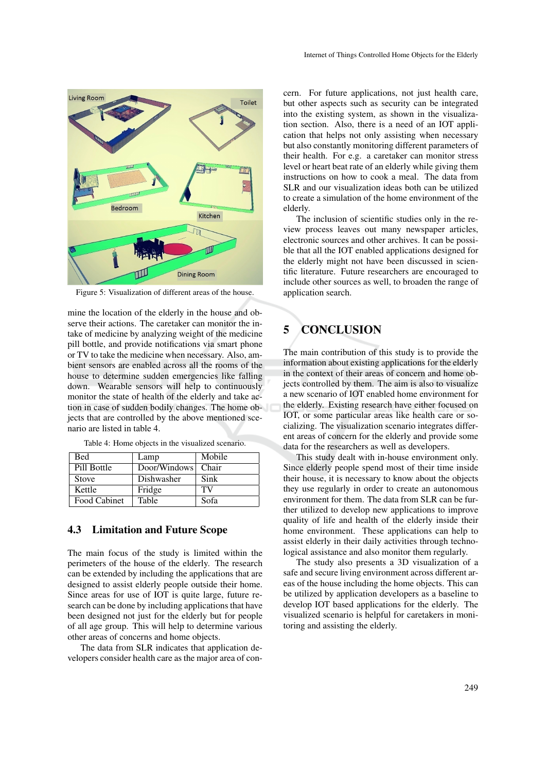

Figure 5: Visualization of different areas of the house.

mine the location of the elderly in the house and observe their actions. The caretaker can monitor the intake of medicine by analyzing weight of the medicine pill bottle, and provide notifications via smart phone or TV to take the medicine when necessary. Also, ambient sensors are enabled across all the rooms of the house to determine sudden emergencies like falling down. Wearable sensors will help to continuously monitor the state of health of the elderly and take action in case of sudden bodily changes. The home objects that are controlled by the above mentioned scenario are listed in table 4.

| Bed          | Lamp               | Mobile |
|--------------|--------------------|--------|
| Pill Bottle  | Door/Windows Chair |        |
| <b>Stove</b> | Dishwasher         | Sink   |
| Kettle       | Fridge             | TV     |
| Food Cabinet | Table              | Sofa   |

Table 4: Home objects in the visualized scenario.

## 4.3 Limitation and Future Scope

The main focus of the study is limited within the perimeters of the house of the elderly. The research can be extended by including the applications that are designed to assist elderly people outside their home. Since areas for use of IOT is quite large, future research can be done by including applications that have been designed not just for the elderly but for people of all age group. This will help to determine various other areas of concerns and home objects.

The data from SLR indicates that application developers consider health care as the major area of concern. For future applications, not just health care, but other aspects such as security can be integrated into the existing system, as shown in the visualization section. Also, there is a need of an IOT application that helps not only assisting when necessary but also constantly monitoring different parameters of their health. For e.g. a caretaker can monitor stress level or heart beat rate of an elderly while giving them instructions on how to cook a meal. The data from SLR and our visualization ideas both can be utilized to create a simulation of the home environment of the elderly.

The inclusion of scientific studies only in the review process leaves out many newspaper articles, electronic sources and other archives. It can be possible that all the IOT enabled applications designed for the elderly might not have been discussed in scientific literature. Future researchers are encouraged to include other sources as well, to broaden the range of application search.

# 5 CONCLUSION

The main contribution of this study is to provide the information about existing applications for the elderly in the context of their areas of concern and home objects controlled by them. The aim is also to visualize a new scenario of IOT enabled home environment for the elderly. Existing research have either focused on IOT, or some particular areas like health care or socializing. The visualization scenario integrates different areas of concern for the elderly and provide some data for the researchers as well as developers.

This study dealt with in-house environment only. Since elderly people spend most of their time inside their house, it is necessary to know about the objects they use regularly in order to create an autonomous environment for them. The data from SLR can be further utilized to develop new applications to improve quality of life and health of the elderly inside their home environment. These applications can help to assist elderly in their daily activities through technological assistance and also monitor them regularly.

The study also presents a 3D visualization of a safe and secure living environment across different areas of the house including the home objects. This can be utilized by application developers as a baseline to develop IOT based applications for the elderly. The visualized scenario is helpful for caretakers in monitoring and assisting the elderly.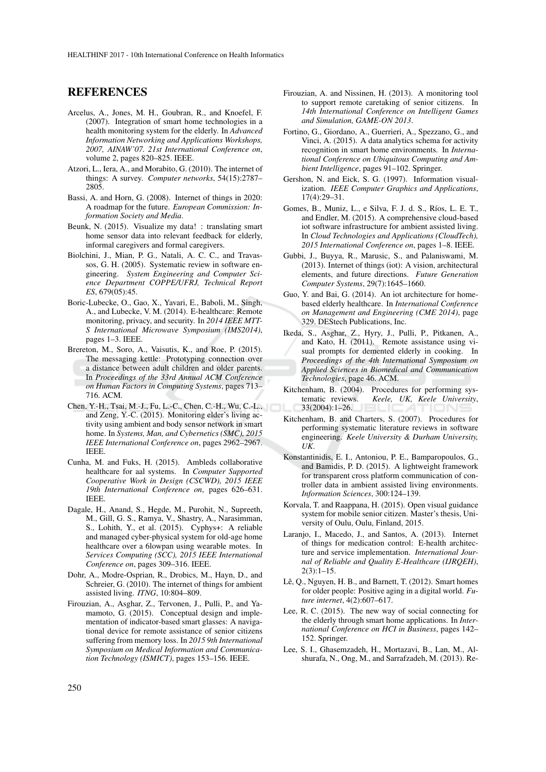## REFERENCES

- Arcelus, A., Jones, M. H., Goubran, R., and Knoefel, F. (2007). Integration of smart home technologies in a health monitoring system for the elderly. In *Advanced Information Networking and Applications Workshops, 2007, AINAW'07. 21st International Conference on*, volume 2, pages 820–825. IEEE.
- Atzori, L., Iera, A., and Morabito, G. (2010). The internet of things: A survey. *Computer networks*, 54(15):2787– 2805.
- Bassi, A. and Horn, G. (2008). Internet of things in 2020: A roadmap for the future. *European Commission: Information Society and Media*.
- Beunk, N. (2015). Visualize my data! : translating smart home sensor data into relevant feedback for elderly, informal caregivers and formal caregivers.
- Biolchini, J., Mian, P. G., Natali, A. C. C., and Travassos, G. H. (2005). Systematic review in software engineering. *System Engineering and Computer Science Department COPPE/UFRJ, Technical Report ES*, 679(05):45.
- Boric-Lubecke, O., Gao, X., Yavari, E., Baboli, M., Singh, A., and Lubecke, V. M. (2014). E-healthcare: Remote monitoring, privacy, and security. In *2014 IEEE MTT-S International Microwave Symposium (IMS2014)*, pages 1–3. IEEE.
- Brereton, M., Soro, A., Vaisutis, K., and Roe, P. (2015). The messaging kettle: Prototyping connection over a distance between adult children and older parents. In *Proceedings of the 33rd Annual ACM Conference on Human Factors in Computing Systems*, pages 713– 716. ACM.
- Chen, Y.-H., Tsai, M.-J., Fu, L.-C., Chen, C.-H., Wu, C.-L., and Zeng, Y.-C. (2015). Monitoring elder's living activity using ambient and body sensor network in smart home. In *Systems, Man, and Cybernetics (SMC), 2015 IEEE International Conference on*, pages 2962–2967. IEEE.
- Cunha, M. and Fuks, H. (2015). Ambleds collaborative healthcare for aal systems. In *Computer Supported Cooperative Work in Design (CSCWD), 2015 IEEE 19th International Conference on*, pages 626–631. IEEE.
- Dagale, H., Anand, S., Hegde, M., Purohit, N., Supreeth, M., Gill, G. S., Ramya, V., Shastry, A., Narasimman, S., Lohith, Y., et al. (2015). Cyphys+: A reliable and managed cyber-physical system for old-age home healthcare over a 6lowpan using wearable motes. In *Services Computing (SCC), 2015 IEEE International Conference on*, pages 309–316. IEEE.
- Dohr, A., Modre-Osprian, R., Drobics, M., Hayn, D., and Schreier, G. (2010). The internet of things for ambient assisted living. *ITNG*, 10:804–809.
- Firouzian, A., Asghar, Z., Tervonen, J., Pulli, P., and Yamamoto, G. (2015). Conceptual design and implementation of indicator-based smart glasses: A navigational device for remote assistance of senior citizens suffering from memory loss. In *2015 9th International Symposium on Medical Information and Communication Technology (ISMICT)*, pages 153–156. IEEE.
- Firouzian, A. and Nissinen, H. (2013). A monitoring tool to support remote caretaking of senior citizens. In *14th International Conference on Intelligent Games and Simulation, GAME-ON 2013*.
- Fortino, G., Giordano, A., Guerrieri, A., Spezzano, G., and Vinci, A. (2015). A data analytics schema for activity recognition in smart home environments. In *International Conference on Ubiquitous Computing and Ambient Intelligence*, pages 91–102. Springer.
- Gershon, N. and Eick, S. G. (1997). Information visualization. *IEEE Computer Graphics and Applications*, 17(4):29–31.
- Gomes, B., Muniz, L., e Silva, F. J. d. S., Ríos, L. E. T., and Endler, M. (2015). A comprehensive cloud-based iot software infrastructure for ambient assisted living. In *Cloud Technologies and Applications (CloudTech), 2015 International Conference on*, pages 1–8. IEEE.
- Gubbi, J., Buyya, R., Marusic, S., and Palaniswami, M. (2013). Internet of things (iot): A vision, architectural elements, and future directions. *Future Generation Computer Systems*, 29(7):1645–1660.
- Guo, Y. and Bai, G. (2014). An iot architecture for homebased elderly healthcare. In *International Conference on Management and Engineering (CME 2014)*, page 329. DEStech Publications, Inc.
- Ikeda, S., Asghar, Z., Hyry, J., Pulli, P., Pitkanen, A., and Kato, H. (2011). Remote assistance using visual prompts for demented elderly in cooking. In *Proceedings of the 4th International Symposium on Applied Sciences in Biomedical and Communication Technologies*, page 46. ACM.
- Kitchenham, B. (2004). Procedures for performing systematic reviews. *Keele, UK, Keele University*, 33(2004):1–26.
- Kitchenham, B. and Charters, S. (2007). Procedures for performing systematic literature reviews in software engineering. *Keele University & Durham University, UK*.
- Konstantinidis, E. I., Antoniou, P. E., Bamparopoulos, G., and Bamidis, P. D. (2015). A lightweight framework for transparent cross platform communication of controller data in ambient assisted living environments. *Information Sciences*, 300:124–139.
- Korvala, T. and Raappana, H. (2015). Open visual guidance system for mobile senior citizen. Master's thesis, University of Oulu, Oulu, Finland, 2015.
- Laranjo, I., Macedo, J., and Santos, A. (2013). Internet of things for medication control: E-health architecture and service implementation. *International Journal of Reliable and Quality E-Healthcare (IJRQEH)*,  $2(3):1-15.$
- Lê, Q., Nguyen, H. B., and Barnett, T. (2012). Smart homes for older people: Positive aging in a digital world. *Future internet*, 4(2):607–617.
- Lee, R. C. (2015). The new way of social connecting for the elderly through smart home applications. In *International Conference on HCI in Business*, pages 142– 152. Springer.
- Lee, S. I., Ghasemzadeh, H., Mortazavi, B., Lan, M., Alshurafa, N., Ong, M., and Sarrafzadeh, M. (2013). Re-